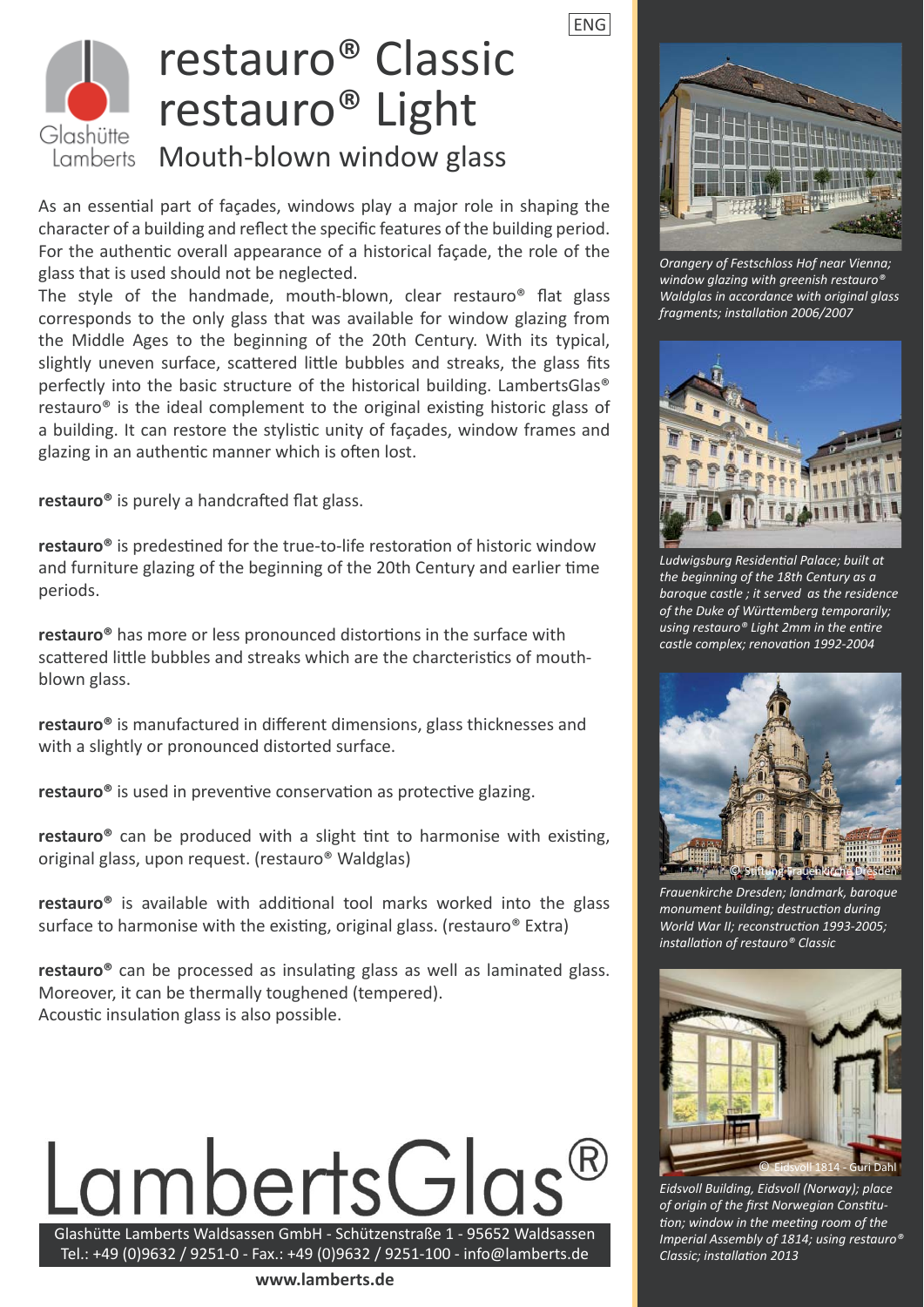ENG



### restauro® Classic restauro® Light Mouth-blown window glass

As an essential part of façades, windows play a major role in shaping the character of a building and reflect the specific features of the building period. For the authentic overall appearance of a historical facade, the role of the glass that is used should not be neglected.

The style of the handmade, mouth-blown, clear restauro<sup>®</sup> flat glass corresponds to the only glass that was available for window glazing from the Middle Ages to the beginning of the 20th Century. With its typical, slightly uneven surface, scattered little bubbles and streaks, the glass fits perfectly into the basic structure of the historical building. LambertsGlas® restauro<sup>®</sup> is the ideal complement to the original existing historic glass of a building. It can restore the stylistic unity of façades, window frames and glazing in an authentic manner which is often lost.

restauro<sup>®</sup> is purely a handcrafted flat glass.

restauro<sup>®</sup> is predestined for the true-to-life restoration of historic window and furniture glazing of the beginning of the 20th Century and earlier time periods.

**restauro<sup>®</sup>** has more or less pronounced distortions in the surface with scattered little bubbles and streaks which are the charcteristics of mouthblown glass.

**restauro**<sup>®</sup> is manufactured in different dimensions, glass thicknesses and with a slightly or pronounced distorted surface.

**restauro<sup>®</sup>** is used in preventive conservation as protective glazing.

**restauro**<sup>®</sup> can be produced with a slight tint to harmonise with existing, original glass, upon request. (restauro® Waldglas)

restauro<sup>®</sup> is available with additional tool marks worked into the glass surface to harmonise with the existing, original glass. (restauro<sup>®</sup> Extra)

**restauro**<sup>®</sup> can be processed as insulating glass as well as laminated glass. Moreover, it can be thermally toughened (tempered). Acoustic insulation glass is also possible.



Tel.: +49 (0)9632 / 9251-0 - Fax.: +49 (0)9632 / 9251-100 - info@lamberts.de

**www.lamberts.de**



*Orangery of Festschloss Hof near Vienna; window glazing with greenish restauro® Waldglas in accordance with original glass fragments; installati on 2006/2007* 



*Ludwigsburg Residenti al Palace; built at the beginning of the 18th Century as a baroque castle ; it served as the residence*  of the Duke of Württemberg temporarily; *using restauro® Light 2mm in the entire castle complex; renovati on 1992-2004*



*Frauenkirche Dresden; landmark, baroque monument building; destruction during World War II; reconstruction 1993-2005; installati on of restauro® Classic*



*Eidsvoll Building, Eidsvoll (Norway); place*  of origin of the first Norwegian Constitu*tion; window in the meeting room of the Imperial Assembly of 1814; using restauro® Classic; installati on 2013*